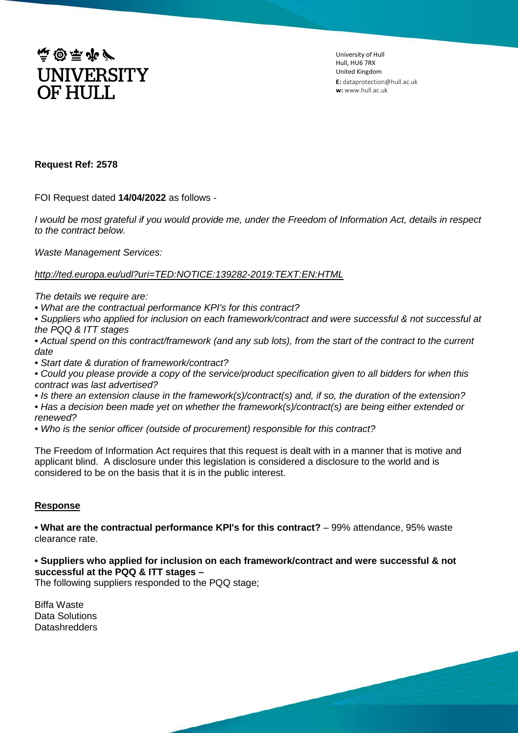

University of Hull Hull, HU6 7RX United Kingdom **E:** dataprotection@hull.ac.uk **w:** www.hull.ac.uk

## **Request Ref: 2578**

FOI Request dated **14/04/2022** as follows -

*I would be most grateful if you would provide me, under the Freedom of Information Act, details in respect to the contract below.*

*Waste Management Services:*

### *<http://ted.europa.eu/udl?uri=TED:NOTICE:139282-2019:TEXT:EN:HTML>*

*The details we require are:*

*• What are the contractual performance KPI's for this contract?* 

*• Suppliers who applied for inclusion on each framework/contract and were successful & not successful at the PQQ & ITT stages*

*• Actual spend on this contract/framework (and any sub lots), from the start of the contract to the current date* 

*• Start date & duration of framework/contract?*

*• Could you please provide a copy of the service/product specification given to all bidders for when this contract was last advertised?*

*• Is there an extension clause in the framework(s)/contract(s) and, if so, the duration of the extension?* 

*• Has a decision been made yet on whether the framework(s)/contract(s) are being either extended or renewed?* 

*• Who is the senior officer (outside of procurement) responsible for this contract?*

The Freedom of Information Act requires that this request is dealt with in a manner that is motive and applicant blind. A disclosure under this legislation is considered a disclosure to the world and is considered to be on the basis that it is in the public interest.

### **Response**

**• What are the contractual performance KPI's for this contract?** – 99% attendance, 95% waste clearance rate.

**• Suppliers who applied for inclusion on each framework/contract and were successful & not successful at the PQQ & ITT stages –**

The following suppliers responded to the PQQ stage;

Biffa Waste Data Solutions **Datashredders**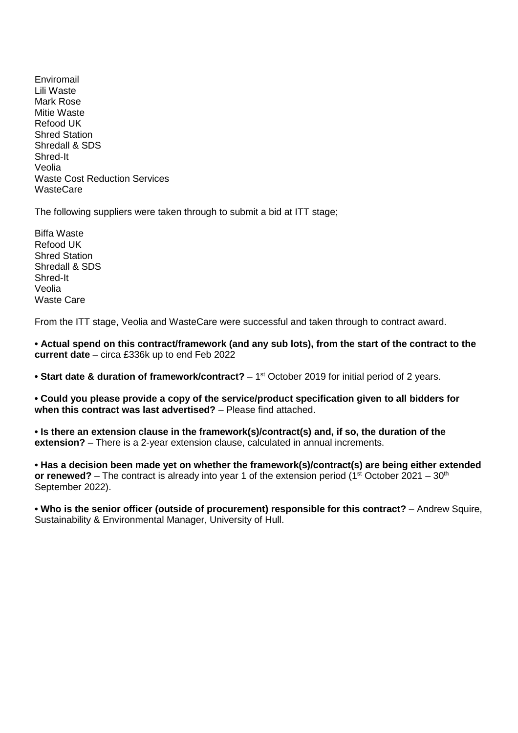Enviromail Lili Waste Mark Rose Mitie Waste Refood UK Shred Station Shredall & SDS Shred-It Veolia Waste Cost Reduction Services **WasteCare** 

The following suppliers were taken through to submit a bid at ITT stage;

Biffa Waste Refood UK Shred Station Shredall & SDS Shred-It Veolia Waste Care

From the ITT stage, Veolia and WasteCare were successful and taken through to contract award.

**• Actual spend on this contract/framework (and any sub lots), from the start of the contract to the current date** – circa £336k up to end Feb 2022

• Start date & duration of framework/contract? – 1<sup>st</sup> October 2019 for initial period of 2 years.

**• Could you please provide a copy of the service/product specification given to all bidders for when this contract was last advertised?** – Please find attached.

**• Is there an extension clause in the framework(s)/contract(s) and, if so, the duration of the extension?** – There is a 2-year extension clause, calculated in annual increments.

**• Has a decision been made yet on whether the framework(s)/contract(s) are being either extended or renewed?** – The contract is already into year 1 of the extension period (1<sup>st</sup> October 2021 – 30<sup>th</sup>) September 2022).

**• Who is the senior officer (outside of procurement) responsible for this contract?** – Andrew Squire, Sustainability & Environmental Manager, University of Hull.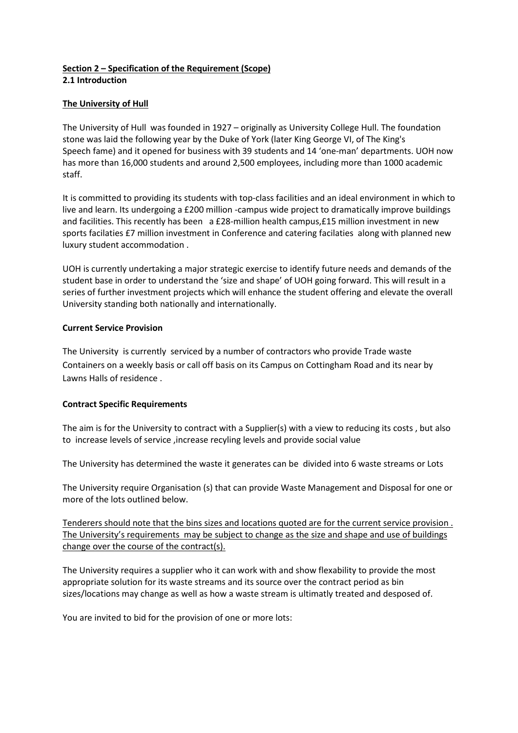#### **Section 2 – Specification of the Requirement (Scope) 2.1 Introduction**

## **The University of Hull**

The University of Hull was founded in 1927 – originally as University College Hull. The foundation stone was laid the following year by the Duke of York (later King George VI, of The King's Speech fame) and it opened for business with 39 students and 14 'one-man' departments. UOH now has more than 16,000 students and around 2,500 employees, including more than 1000 academic staff.

It is committed to providing its students with top-class facilities and an ideal environment in which to live and learn. Its undergoing [a £200 million -campus wide project](http://www2.hull.ac.uk/theuniversity/building-for-the-future.aspx) to dramatically improve buildings and facilities. This recently has been a £28-million health campus,£15 million investment in new sports facilaties £7 million investment in Conference and catering facilaties along with planned new luxury student accommodation .

UOH is currently undertaking a major strategic exercise to identify future needs and demands of the student base in order to understand the 'size and shape' of UOH going forward. This will result in a series of further investment projects which will enhance the student offering and elevate the overall University standing both nationally and internationally.

### **Current Service Provision**

The University is currently serviced by a number of contractors who provide Trade waste Containers on a weekly basis or call off basis on its Campus on Cottingham Road and its near by Lawns Halls of residence .

# **Contract Specific Requirements**

The aim is for the University to contract with a Supplier(s) with a view to reducing its costs , but also to increase levels of service ,increase recyling levels and provide social value

The University has determined the waste it generates can be divided into 6 waste streams or Lots

The University require Organisation (s) that can provide Waste Management and Disposal for one or more of the lots outlined below.

Tenderers should note that the bins sizes and locations quoted are for the current service provision . The University's requirements may be subject to change as the size and shape and use of buildings change over the course of the contract(s).

The University requires a supplier who it can work with and show flexability to provide the most appropriate solution for its waste streams and its source over the contract period as bin sizes/locations may change as well as how a waste stream is ultimatly treated and desposed of.

You are invited to bid for the provision of one or more lots: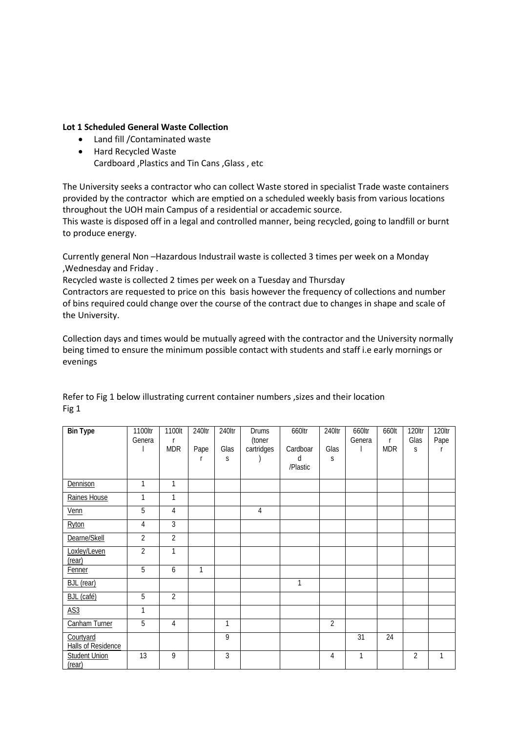#### **Lot 1 Scheduled General Waste Collection**

- Land fill /Contaminated waste
- Hard Recycled Waste Cardboard ,Plastics and Tin Cans ,Glass , etc

The University seeks a contractor who can collect Waste stored in specialist Trade waste containers provided by the contractor which are emptied on a scheduled weekly basis from various locations throughout the UOH main Campus of a residential or accademic source.

This waste is disposed off in a legal and controlled manner, being recycled, going to landfill or burnt to produce energy.

Currently general Non –Hazardous Industrail waste is collected 3 times per week on a Monday ,Wednesday and Friday .

Recycled waste is collected 2 times per week on a Tuesday and Thursday

Contractors are requested to price on this basis however the frequency of collections and number of bins required could change over the course of the contract due to changes in shape and scale of the University.

Collection days and times would be mutually agreed with the contractor and the University normally being timed to ensure the minimum possible contact with students and staff i.e early mornings or evenings

| <b>Bin Type</b>                        | 1100ltr<br>Genera | 1100lt<br>r<br><b>MDR</b> | 240ltr<br>Pape | 240ltr<br>Glas<br>S | <b>Drums</b><br>(toner<br>cartridges | 660ltr<br>Cardboar<br>d<br>/Plastic | 240ltr<br>Glas<br>S | 660ltr<br>Genera | 660lt<br>r<br><b>MDR</b> | 120ltr<br>Glas<br>S | 120ltr<br>Pape |
|----------------------------------------|-------------------|---------------------------|----------------|---------------------|--------------------------------------|-------------------------------------|---------------------|------------------|--------------------------|---------------------|----------------|
| Dennison                               | 1                 | $\mathbf{1}$              |                |                     |                                      |                                     |                     |                  |                          |                     |                |
| Raines House                           | 1                 | $\mathbf{1}$              |                |                     |                                      |                                     |                     |                  |                          |                     |                |
| Venn                                   | 5                 | $\overline{4}$            |                |                     | $\overline{4}$                       |                                     |                     |                  |                          |                     |                |
| Ryton                                  | 4                 | 3                         |                |                     |                                      |                                     |                     |                  |                          |                     |                |
| Dearne/Skell                           | $\overline{2}$    | $\overline{2}$            |                |                     |                                      |                                     |                     |                  |                          |                     |                |
| Loxley/Leven<br>(rear)                 | $\overline{2}$    | 1                         |                |                     |                                      |                                     |                     |                  |                          |                     |                |
| Fenner                                 | $\overline{5}$    | 6                         | 1              |                     |                                      |                                     |                     |                  |                          |                     |                |
| <b>BJL</b> (rear)                      |                   |                           |                |                     |                                      | 1                                   |                     |                  |                          |                     |                |
| BJL (café)                             | $\overline{5}$    | $\overline{2}$            |                |                     |                                      |                                     |                     |                  |                          |                     |                |
| $\underline{AS3}$                      | 1                 |                           |                |                     |                                      |                                     |                     |                  |                          |                     |                |
| Canham Turner                          | $\overline{5}$    | 4                         |                | 1                   |                                      |                                     | $\overline{2}$      |                  |                          |                     |                |
| Courtyard<br><b>Halls of Residence</b> |                   |                           |                | 9                   |                                      |                                     |                     | 31               | 24                       |                     |                |
| <b>Student Union</b><br>(rear)         | 13                | 9                         |                | $\overline{3}$      |                                      |                                     | 4                   | $\mathbf{1}$     |                          | $\overline{2}$      | 1              |

Refer to Fig 1 below illustrating current container numbers ,sizes and their location Fig 1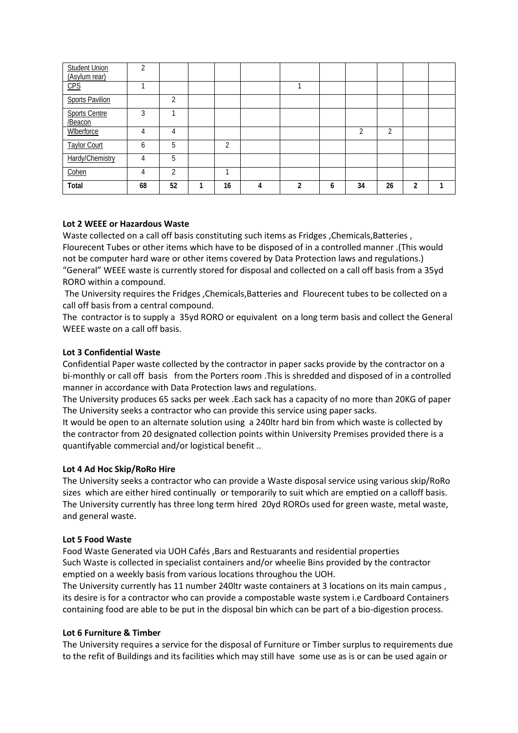| <b>Student Union</b><br>(Asylum rear) | ി  |    |               |   |              |   |    |    |   |  |
|---------------------------------------|----|----|---------------|---|--------------|---|----|----|---|--|
| CPS                                   |    |    |               |   |              |   |    |    |   |  |
| <b>Sports Pavilion</b>                |    | C  |               |   |              |   |    |    |   |  |
| Sports Centre<br>/Beacon              | 3  |    |               |   |              |   |    |    |   |  |
| Wlberforce                            |    | 4  |               |   |              |   |    | C  |   |  |
| <b>Taylor Court</b>                   | 6  | 5  | $\mathcal{D}$ |   |              |   |    |    |   |  |
| Hardy/Chemistry                       | 4  | 5  |               |   |              |   |    |    |   |  |
| Cohen                                 | 4  | C  |               |   |              |   |    |    |   |  |
| Total                                 | 68 | 52 | 16            | 4 | <sup>1</sup> | 6 | 34 | 26 | າ |  |

## **Lot 2 WEEE or Hazardous Waste**

Waste collected on a call off basis constituting such items as Fridges , Chemicals, Batteries , Flourecent Tubes or other items which have to be disposed of in a controlled manner .(This would not be computer hard ware or other items covered by Data Protection laws and regulations.) "General" WEEE waste is currently stored for disposal and collected on a call off basis from a 35yd RORO within a compound.

The University requires the Fridges ,Chemicals,Batteries and Flourecent tubes to be collected on a call off basis from a central compound.

The contractor is to supply a 35yd RORO or equivalent on a long term basis and collect the General WEEE waste on a call off basis.

## **Lot 3 Confidential Waste**

Confidential Paper waste collected by the contractor in paper sacks provide by the contractor on a bi-monthly or call off basis from the Porters room .This is shredded and disposed of in a controlled manner in accordance with Data Protection laws and regulations.

The University produces 65 sacks per week .Each sack has a capacity of no more than 20KG of paper The University seeks a contractor who can provide this service using paper sacks.

It would be open to an alternate solution using a 240ltr hard bin from which waste is collected by the contractor from 20 designated collection points within University Premises provided there is a quantifyable commercial and/or logistical benefit ..

### **Lot 4 Ad Hoc Skip/RoRo Hire**

The University seeks a contractor who can provide a Waste disposal service using various skip/RoRo sizes which are either hired continually or temporarily to suit which are emptied on a calloff basis. The University currently has three long term hired 20yd ROROs used for green waste, metal waste, and general waste.

### **Lot 5 Food Waste**

Food Waste Generated via UOH Cafés ,Bars and Restuarants and residential properties Such Waste is collected in specialist containers and/or wheelie Bins provided by the contractor emptied on a weekly basis from various locations throughou the UOH.

The University currently has 11 number 240ltr waste containers at 3 locations on its main campus , its desire is for a contractor who can provide a compostable waste system i.e Cardboard Containers containing food are able to be put in the disposal bin which can be part of a bio-digestion process.

### **Lot 6 Furniture & Timber**

The University requires a service for the disposal of Furniture or Timber surplus to requirements due to the refit of Buildings and its facilities which may still have some use as is or can be used again or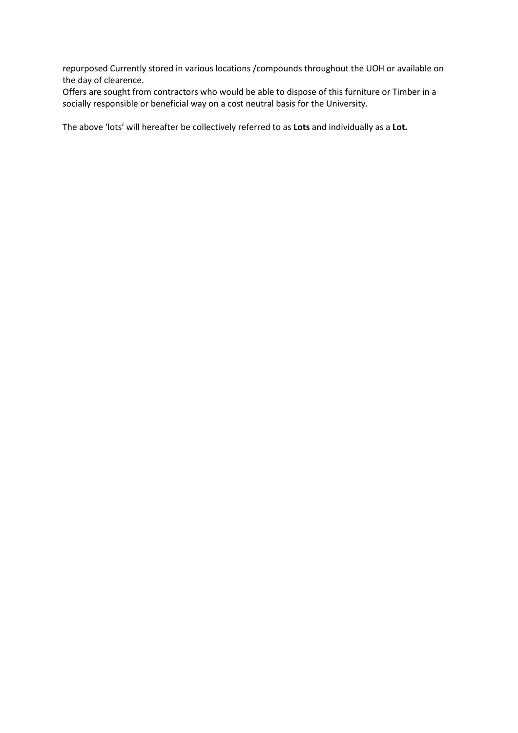repurposed Currently stored in various locations /compounds throughout the UOH or available on the day of clearence.

Offers are sought from contractors who would be able to dispose of this furniture or Timber in a socially responsible or beneficial way on a cost neutral basis for the University.

The above 'lots' will hereafter be collectively referred to as **Lots** and individually as a **Lot.**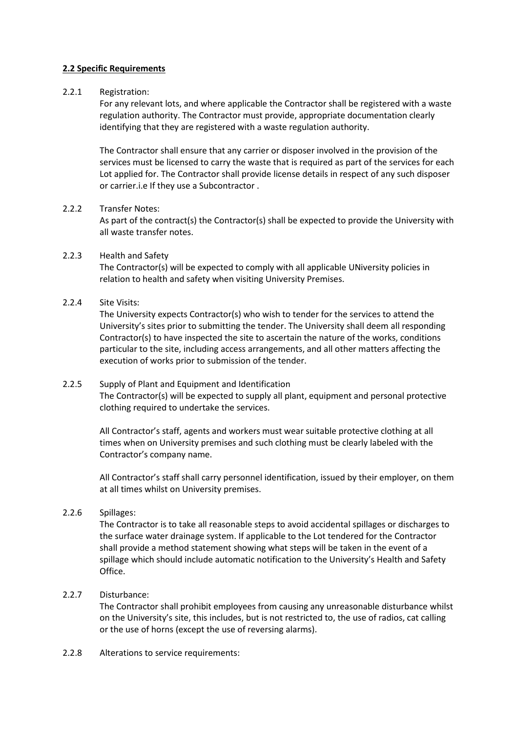### **2.2 Specific Requirements**

### 2.2.1 Registration:

For any relevant lots, and where applicable the Contractor shall be registered with a waste regulation authority. The Contractor must provide, appropriate documentation clearly identifying that they are registered with a waste regulation authority.

The Contractor shall ensure that any carrier or disposer involved in the provision of the services must be licensed to carry the waste that is required as part of the services for each Lot applied for. The Contractor shall provide license details in respect of any such disposer or carrier.i.e If they use a Subcontractor .

### 2.2.2 Transfer Notes:

As part of the contract(s) the Contractor(s) shall be expected to provide the University with all waste transfer notes.

## 2.2.3 Health and Safety

The Contractor(s) will be expected to comply with all applicable UNiversity policies in relation to health and safety when visiting University Premises.

## 2.2.4 Site Visits:

The University expects Contractor(s) who wish to tender for the services to attend the University's sites prior to submitting the tender. The University shall deem all responding Contractor(s) to have inspected the site to ascertain the nature of the works, conditions particular to the site, including access arrangements, and all other matters affecting the execution of works prior to submission of the tender.

# 2.2.5 Supply of Plant and Equipment and Identification The Contractor(s) will be expected to supply all plant, equipment and personal protective clothing required to undertake the services.

All Contractor's staff, agents and workers must wear suitable protective clothing at all times when on University premises and such clothing must be clearly labeled with the Contractor's company name.

All Contractor's staff shall carry personnel identification, issued by their employer, on them at all times whilst on University premises.

# 2.2.6 Spillages:

The Contractor is to take all reasonable steps to avoid accidental spillages or discharges to the surface water drainage system. If applicable to the Lot tendered for the Contractor shall provide a method statement showing what steps will be taken in the event of a spillage which should include automatic notification to the University's Health and Safety Office.

### 2.2.7 Disturbance:

The Contractor shall prohibit employees from causing any unreasonable disturbance whilst on the University's site, this includes, but is not restricted to, the use of radios, cat calling or the use of horns (except the use of reversing alarms).

2.2.8 Alterations to service requirements: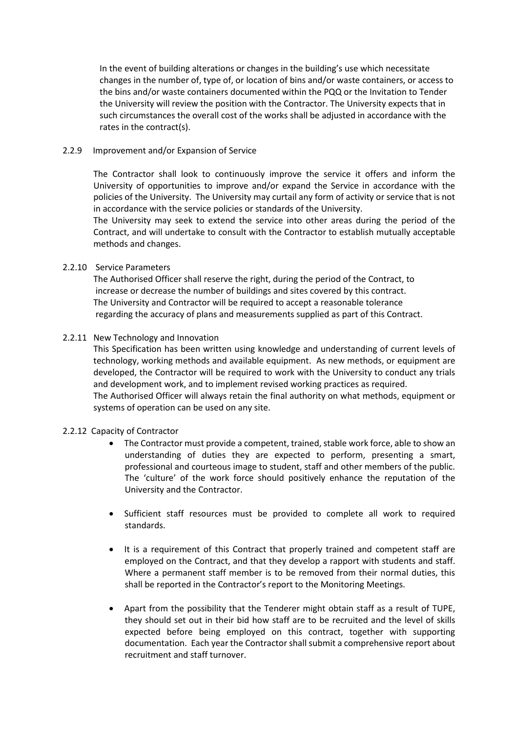In the event of building alterations or changes in the building's use which necessitate changes in the number of, type of, or location of bins and/or waste containers, or access to the bins and/or waste containers documented within the PQQ or the Invitation to Tender the University will review the position with the Contractor. The University expects that in such circumstances the overall cost of the works shall be adjusted in accordance with the rates in the contract(s).

### 2.2.9 Improvement and/or Expansion of Service

The Contractor shall look to continuously improve the service it offers and inform the University of opportunities to improve and/or expand the Service in accordance with the policies of the University. The University may curtail any form of activity or service that is not in accordance with the service policies or standards of the University.

The University may seek to extend the service into other areas during the period of the Contract, and will undertake to consult with the Contractor to establish mutually acceptable methods and changes.

#### 2.2.10 Service Parameters

The Authorised Officer shall reserve the right, during the period of the Contract, to increase or decrease the number of buildings and sites covered by this contract. The University and Contractor will be required to accept a reasonable tolerance regarding the accuracy of plans and measurements supplied as part of this Contract.

#### 2.2.11 New Technology and Innovation

This Specification has been written using knowledge and understanding of current levels of technology, working methods and available equipment. As new methods, or equipment are developed, the Contractor will be required to work with the University to conduct any trials and development work, and to implement revised working practices as required. The Authorised Officer will always retain the final authority on what methods, equipment or systems of operation can be used on any site.

#### 2.2.12 Capacity of Contractor

- The Contractor must provide a competent, trained, stable work force, able to show an understanding of duties they are expected to perform, presenting a smart, professional and courteous image to student, staff and other members of the public. The 'culture' of the work force should positively enhance the reputation of the University and the Contractor.
- Sufficient staff resources must be provided to complete all work to required standards.
- It is a requirement of this Contract that properly trained and competent staff are employed on the Contract, and that they develop a rapport with students and staff. Where a permanent staff member is to be removed from their normal duties, this shall be reported in the Contractor's report to the Monitoring Meetings.
- Apart from the possibility that the Tenderer might obtain staff as a result of TUPE, they should set out in their bid how staff are to be recruited and the level of skills expected before being employed on this contract, together with supporting documentation. Each year the Contractorshall submit a comprehensive report about recruitment and staff turnover.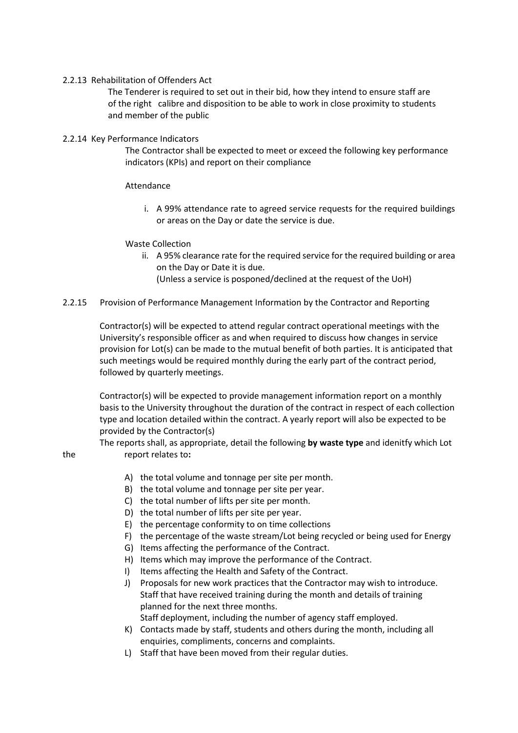### 2.2.13 Rehabilitation of Offenders Act

 The Tenderer is required to set out in their bid, how they intend to ensure staff are of the right calibre and disposition to be able to work in close proximity to students and member of the public

## 2.2.14 Key Performance Indicators

The Contractor shall be expected to meet or exceed the following key performance indicators (KPIs) and report on their compliance

## Attendance

i. A 99% attendance rate to agreed service requests for the required buildings or areas on the Day or date the service is due.

## Waste Collection

ii. A 95% clearance rate for the required service for the required building or area on the Day or Date it is due. (Unless a service is posponed/declined at the request of the UoH)

## 2.2.15 Provision of Performance Management Information by the Contractor and Reporting

Contractor(s) will be expected to attend regular contract operational meetings with the University's responsible officer as and when required to discuss how changes in service provision for Lot(s) can be made to the mutual benefit of both parties. It is anticipated that such meetings would be required monthly during the early part of the contract period, followed by quarterly meetings.

Contractor(s) will be expected to provide management information report on a monthly basis to the University throughout the duration of the contract in respect of each collection type and location detailed within the contract. A yearly report will also be expected to be provided by the Contractor(s)

 The reports shall, as appropriate, detail the following **by waste type** and idenitfy which Lot the report relates to**:**

- A) the total volume and tonnage per site per month.
- B) the total volume and tonnage per site per year.
- C) the total number of lifts per site per month.
- D) the total number of lifts per site per year.
- E) the percentage conformity to on time collections
- F) the percentage of the waste stream/Lot being recycled or being used for Energy
- G) Items affecting the performance of the Contract.
- H) Items which may improve the performance of the Contract.
- I) Items affecting the Health and Safety of the Contract.
- J) Proposals for new work practices that the Contractor may wish to introduce. Staff that have received training during the month and details of training planned for the next three months. Staff deployment, including the number of agency staff employed.
- K) Contacts made by staff, students and others during the month, including all enquiries, compliments, concerns and complaints.
- L) Staff that have been moved from their regular duties.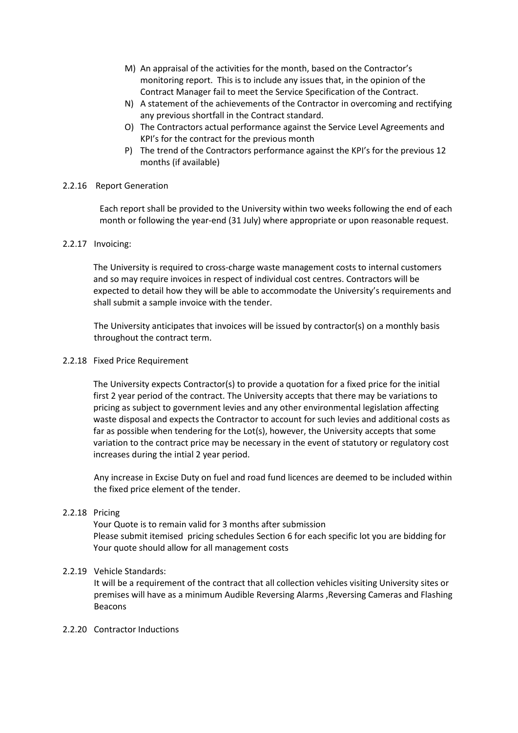- M) An appraisal of the activities for the month, based on the Contractor's monitoring report. This is to include any issues that, in the opinion of the Contract Manager fail to meet the Service Specification of the Contract.
- N) A statement of the achievements of the Contractor in overcoming and rectifying any previous shortfall in the Contract standard.
- O) The Contractors actual performance against the Service Level Agreements and KPI's for the contract for the previous month
- P) The trend of the Contractors performance against the KPI's for the previous 12 months (if available)

### 2.2.16 Report Generation

Each report shall be provided to the University within two weeks following the end of each month or following the year-end (31 July) where appropriate or upon reasonable request.

## 2.2.17 Invoicing:

The University is required to cross-charge waste management costs to internal customers and so may require invoices in respect of individual cost centres. Contractors will be expected to detail how they will be able to accommodate the University's requirements and shall submit a sample invoice with the tender.

The University anticipates that invoices will be issued by contractor(s) on a monthly basis throughout the contract term.

### 2.2.18 Fixed Price Requirement

The University expects Contractor(s) to provide a quotation for a fixed price for the initial first 2 year period of the contract. The University accepts that there may be variations to pricing as subject to government levies and any other environmental legislation affecting waste disposal and expects the Contractor to account for such levies and additional costs as far as possible when tendering for the Lot(s), however, the University accepts that some variation to the contract price may be necessary in the event of statutory or regulatory cost increases during the intial 2 year period.

Any increase in Excise Duty on fuel and road fund licences are deemed to be included within the fixed price element of the tender.

# 2.2.18 Pricing

Your Quote is to remain valid for 3 months after submission Please submit itemised pricing schedules Section 6 for each specific lot you are bidding for Your quote should allow for all management costs

### 2.2.19 Vehicle Standards:

It will be a requirement of the contract that all collection vehicles visiting University sites or premises will have as a minimum Audible Reversing Alarms ,Reversing Cameras and Flashing Beacons

### 2.2.20 Contractor Inductions